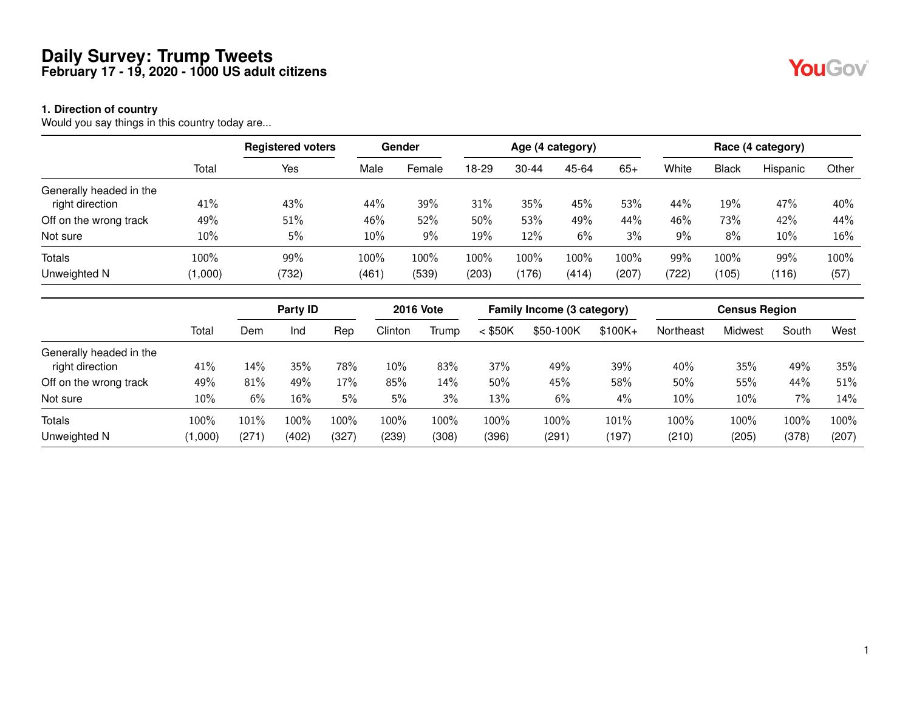#### **1. Direction of country**

Would you say things in this country today are...

|                         |         | <b>Registered voters</b> |       | Gender |         |           | Age (4 category) |       |       |              | Race (4 category) |       |
|-------------------------|---------|--------------------------|-------|--------|---------|-----------|------------------|-------|-------|--------------|-------------------|-------|
|                         | Total   | Yes                      | Male  | Female | 18-29   | $30 - 44$ | 45-64            | $65+$ | White | <b>Black</b> | Hispanic          | Other |
| Generally headed in the |         |                          |       |        |         |           |                  |       |       |              |                   |       |
| right direction         | 41%     | 43%                      | 44%   | 39%    | 31%     | 35%       | 45%              | 53%   | 44%   | 19%          | 47%               | 40%   |
| Off on the wrong track  | 49%     | 51%                      | 46%   | 52%    | $50\%$  | 53%       | 49%              | 44%   | 46%   | 73%          | 42%               | 44%   |
| Not sure                | 10%     | 5%                       | 10%   | 9%     | 19%     | 12%       | 6%               | 3%    | 9%    | 8%           | 10%               | 16%   |
| <b>Totals</b>           | 100%    | 99%                      | 100%  | 100%   | $100\%$ | 100%      | 100%             | 100%  | 99%   | 100%         | 99%               | 100%  |
| Unweighted N            | (1,000) | (732)                    | (461) | (539)  | (203)   | (176)     | (414)            | (207) | (722) | (105)        | (116)             | (57)  |

|                         |         | Party <b>ID</b> |         |       | <b>2016 Vote</b> |       |           | Family Income (3 category) |           |           | <b>Census Region</b> |         |       |
|-------------------------|---------|-----------------|---------|-------|------------------|-------|-----------|----------------------------|-----------|-----------|----------------------|---------|-------|
|                         | Total   | Dem             | Ind     | Rep   | Clinton          | Trump | $<$ \$50K | \$50-100K                  | $$100K +$ | Northeast | Midwest              | South   | West  |
| Generally headed in the |         |                 |         |       |                  |       |           |                            |           |           |                      |         |       |
| right direction         | 41%     | 14%             | 35%     | 78%   | 10%              | 83%   | 37%       | 49%                        | 39%       | 40%       | 35%                  | 49%     | 35%   |
| Off on the wrong track  | 49%     | 81%             | 49%     | 17%   | 85%              | 14%   | $50\%$    | 45%                        | 58%       | 50%       | 55%                  | 44%     | 51%   |
| Not sure                | 10%     | 6%              | 16%     | 5%    | 5%               | 3%    | 13%       | 6%                         | 4%        | 10%       | 10%                  | 7%      | 14%   |
| <b>Totals</b>           | 100%    | $101\%$         | $.00\%$ | 100%  | 100%             | 100%  | 100%      | 100%                       | 101%      | 100%      | 100%                 | $100\%$ | 100%  |
| Unweighted N            | (1,000) | (271)           | (402)   | (327) | (239)            | (308) | (396)     | (291)                      | (197)     | (210)     | (205)                | (378)   | (207) |

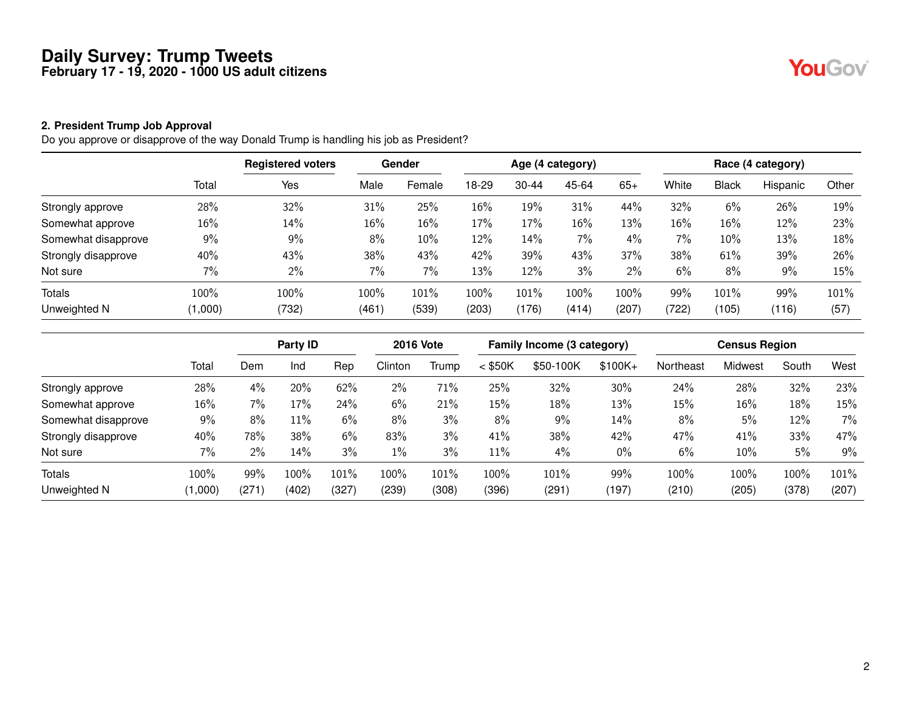# YouGov®

#### **2. President Trump Job Approval**

Do you approve or disapprove of the way Donald Trump is handling his job as President?

|                     |         | <b>Registered voters</b> |       | <b>Gender</b> |        |           | Age (4 category) |       |        |              | Race (4 category) |       |
|---------------------|---------|--------------------------|-------|---------------|--------|-----------|------------------|-------|--------|--------------|-------------------|-------|
|                     | Total   | Yes                      | Male  | Female        | 18-29  | $30 - 44$ | 45-64            | $65+$ | White  | <b>Black</b> | Hispanic          | Other |
| Strongly approve    | 28%     | 32%                      | 31%   | 25%           | $16\%$ | 19%       | 31%              | 44%   | 32%    | 6%           | 26%               | 19%   |
| Somewhat approve    | 16%     | 14%                      | 16%   | 16%           | 17%    | 17%       | 16%              | 13%   | $16\%$ | 16%          | 12%               | 23%   |
| Somewhat disapprove | 9%      | 9%                       | 8%    | 10%           | 12%    | 14%       | 7%               | 4%    | 7%     | 10%          | 13%               | 18%   |
| Strongly disapprove | 40%     | 43%                      | 38%   | 43%           | 42%    | 39%       | 43%              | 37%   | 38%    | 61%          | 39%               | 26%   |
| Not sure            | 7%      | 2%                       | 7%    | 7%            | 13%    | 12%       | 3%               | 2%    | 6%     | 8%           | 9%                | 15%   |
| <b>Totals</b>       | 100%    | 100%                     | 100%  | 101%          | 100%   | 101%      | 100%             | 100%  | 99%    | 101%         | 99%               | 101%  |
| Unweighted N        | (1,000) | (732)                    | (461) | (539)         | (203)  | (176)     | (414)            | (207) | (722)  | (105)        | (116)             | (57)  |

|                     |         |       | Party ID |       | <b>2016 Vote</b> |       |           | Family Income (3 category) |           |           | <b>Census Region</b> |       |       |
|---------------------|---------|-------|----------|-------|------------------|-------|-----------|----------------------------|-----------|-----------|----------------------|-------|-------|
|                     | Total   | Dem   | Ind      | Rep   | Clinton          | Trump | $<$ \$50K | \$50-100K                  | $$100K +$ | Northeast | Midwest              | South | West  |
| Strongly approve    | 28%     | 4%    | 20%      | 62%   | 2%               | 71%   | 25%       | 32%                        | 30%       | 24%       | 28%                  | 32%   | 23%   |
| Somewhat approve    | 16%     | 7%    | 17%      | 24%   | 6%               | 21%   | 15%       | 18%                        | 13%       | 15%       | 16%                  | 18%   | 15%   |
| Somewhat disapprove | 9%      | 8%    | 11%      | 6%    | 8%               | 3%    | 8%        | 9%                         | 14%       | $8\%$     | 5%                   | 12%   | 7%    |
| Strongly disapprove | 40%     | 78%   | 38%      | 6%    | 83%              | 3%    | 41%       | 38%                        | 42%       | 47%       | 41%                  | 33%   | 47%   |
| Not sure            | 7%      | $2\%$ | 14%      | 3%    | $1\%$            | 3%    | 11%       | 4%                         | 0%        | 6%        | 10%                  | 5%    | 9%    |
| Totals              | 100%    | 99%   | $.00\%$  | 101%  | 100%             | 101%  | 100%      | 101%                       | 99%       | 100%      | 100%                 | 100%  | 101%  |
| Unweighted N        | (1,000) | (271) | (402)    | (327) | (239)            | (308) | (396)     | (291)                      | (197)     | (210)     | (205)                | (378) | (207) |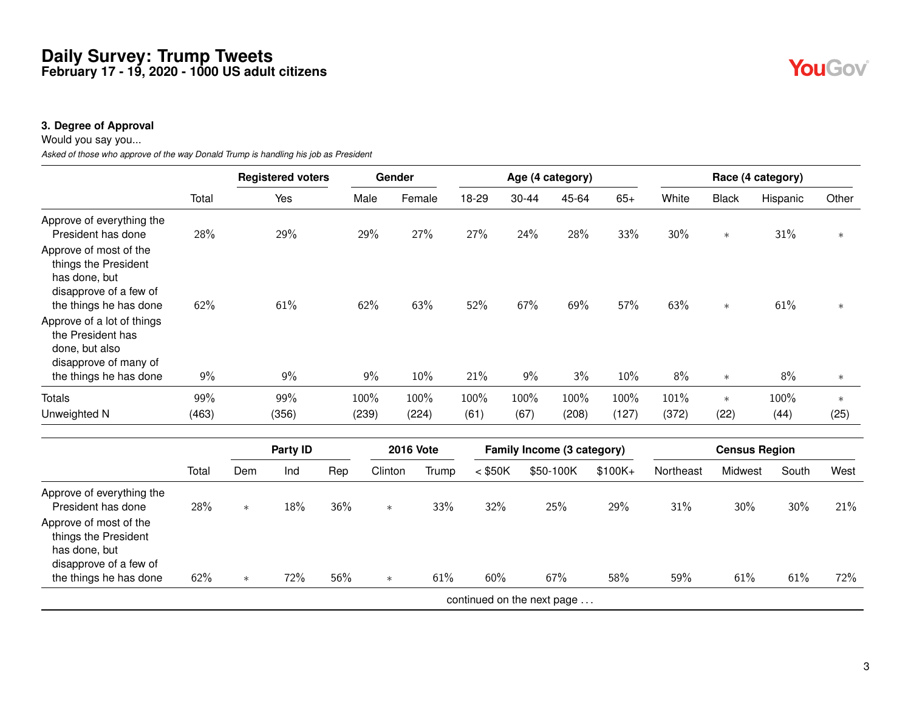#### **3. Degree of Approval**

Would you say you...

*Asked of those who approve of the way Donald Trump is handling his job as President*

|                                                                                                                     |       |        | <b>Registered voters</b> |     | Gender  |                  |                            |       | Age (4 category) |       |           |           |              | Race (4 category)    |        |
|---------------------------------------------------------------------------------------------------------------------|-------|--------|--------------------------|-----|---------|------------------|----------------------------|-------|------------------|-------|-----------|-----------|--------------|----------------------|--------|
|                                                                                                                     | Total |        | Yes                      |     | Male    | Female           | 18-29                      | 30-44 |                  | 45-64 | $65+$     | White     | <b>Black</b> | Hispanic             | Other  |
| Approve of everything the<br>President has done                                                                     | 28%   |        | 29%                      |     | 29%     | 27%              | 27%                        | 24%   |                  | 28%   | 33%       | 30%       | $\ast$       | 31%                  | $\ast$ |
| Approve of most of the<br>things the President<br>has done, but<br>disapprove of a few of<br>the things he has done | 62%   |        | 61%                      |     | 62%     | 63%              | 52%                        | 67%   |                  | 69%   | 57%       | 63%       | $\ast$       | 61%                  | $\ast$ |
| Approve of a lot of things<br>the President has<br>done, but also<br>disapprove of many of                          |       |        |                          |     |         |                  |                            |       |                  |       |           |           |              |                      |        |
| the things he has done                                                                                              | $9\%$ |        | 9%                       |     | 9%      | 10%              | 21%                        | 9%    |                  | 3%    | 10%       | 8%        | $\ast$       | 8%                   | $\ast$ |
| <b>Totals</b>                                                                                                       | 99%   |        | 99%                      |     | 100%    | 100%             | 100%                       | 100%  |                  | 100%  | 100%      | 101%      | $\ast$       | 100%                 | $\ast$ |
| Unweighted N                                                                                                        | (463) |        | (356)                    |     | (239)   | (224)            | (61)                       | (67)  |                  | (208) | (127)     | (372)     | (22)         | (44)                 | (25)   |
|                                                                                                                     |       |        | Party ID                 |     |         | <b>2016 Vote</b> | Family Income (3 category) |       |                  |       |           |           |              | <b>Census Region</b> |        |
|                                                                                                                     | Total | Dem    | Ind                      | Rep | Clinton | Trump            | $<$ \$50K                  |       | \$50-100K        |       | $$100K +$ | Northeast | Midwest      | South                | West   |
| Approve of everything the<br>President has done                                                                     | 28%   | $\ast$ | 18%                      | 36% | $\ast$  | 33%              | 32%                        |       | 25%              |       | 29%       | 31%       | 30%          | 30%                  | 21%    |
| Approve of most of the<br>things the President<br>has done, but<br>disapprove of a few of                           |       |        |                          |     |         |                  |                            |       |                  |       |           |           |              |                      |        |
| the things he has done                                                                                              | 62%   | $\ast$ | 72%                      | 56% | $\ast$  | 61%              | 60%                        |       | 67%              |       | 58%       | 59%       | 61%          | 61%                  | 72%    |
|                                                                                                                     |       |        |                          |     |         |                  | continued on the next page |       |                  |       |           |           |              |                      |        |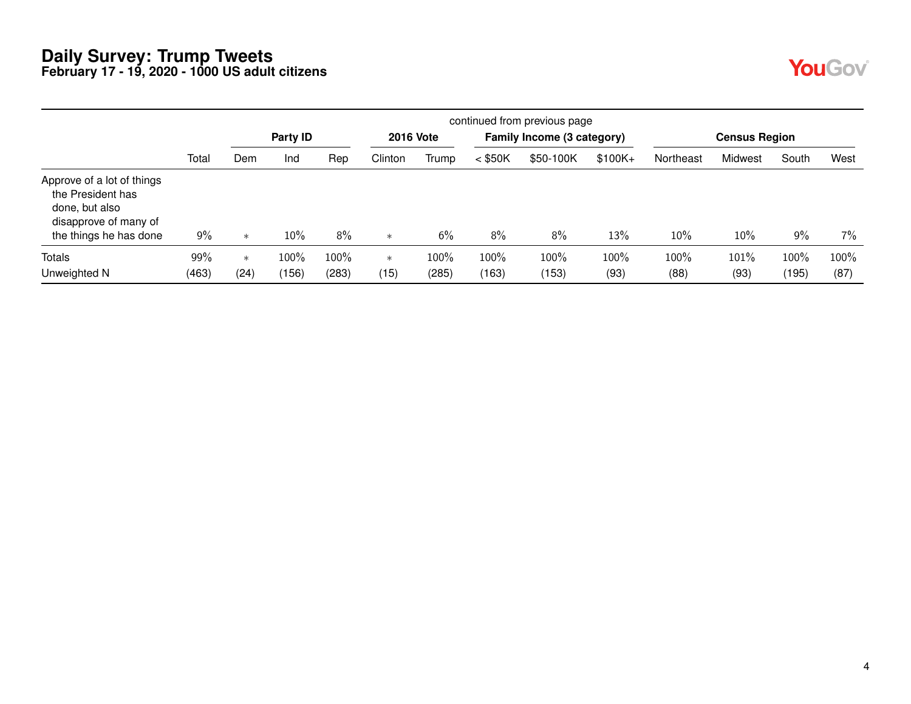| <b>Service Service</b> |  |
|------------------------|--|
|                        |  |

|                                                                                                                      |       | continued from previous page |          |       |         |                  |           |                            |          |           |                      |       |      |  |
|----------------------------------------------------------------------------------------------------------------------|-------|------------------------------|----------|-------|---------|------------------|-----------|----------------------------|----------|-----------|----------------------|-------|------|--|
|                                                                                                                      |       |                              | Party ID |       |         | <b>2016 Vote</b> |           | Family Income (3 category) |          |           | <b>Census Region</b> |       |      |  |
|                                                                                                                      | Total | Dem                          | Ind      | Rep   | Clinton | Trump            | $<$ \$50K | \$50-100K                  | $$100K+$ | Northeast | Midwest              | South | West |  |
| Approve of a lot of things<br>the President has<br>done, but also<br>disapprove of many of<br>the things he has done | 9%    | $\ast$                       | $10\%$   | 8%    | $\ast$  | 6%               | 8%        | 8%                         | 13%      | 10%       | 10%                  | 9%    | 7%   |  |
| Totals                                                                                                               | 99%   | $\ast$                       | $100\%$  | 100%  | $\ast$  | 100%             | 100%      | 100%                       | 100%     | 100%      | 101%                 | 100%  | 100% |  |
| Unweighted N                                                                                                         | (463) | (24)                         | (156)    | (283) | (15)    | (285)            | (163)     | (153)                      | (93)     | (88)      | (93)                 | (195) | (87) |  |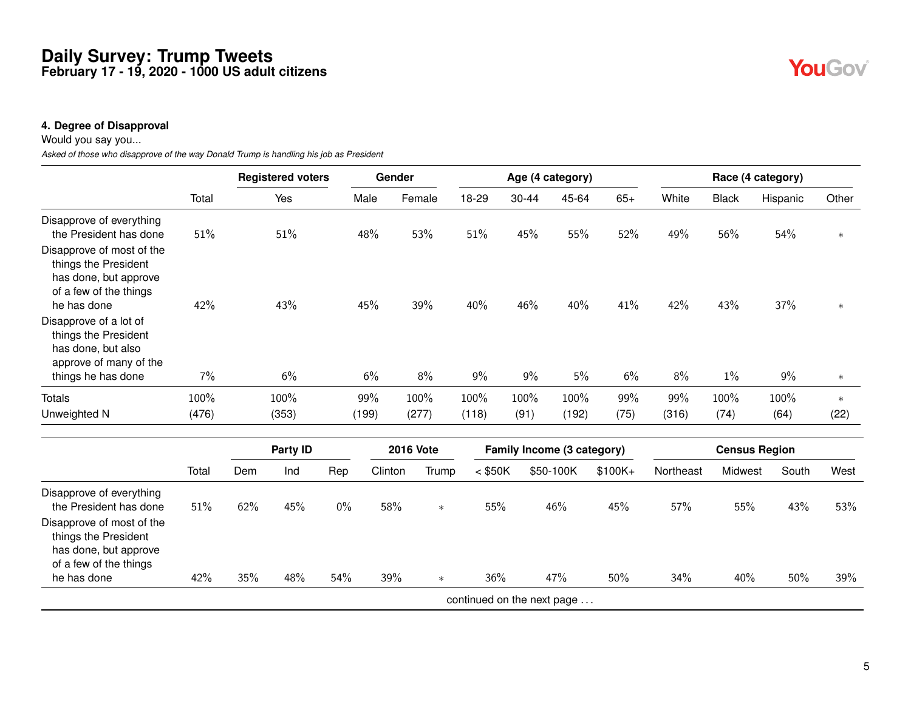#### **4. Degree of Disapproval**

Would you say you...

*Asked of those who disapprove of the way Donald Trump is handling his job as President*

|                                                                                                                     |       |     | <b>Registered voters</b> |       |         | Gender           |           |       | Age (4 category)           |           |           |                      | Race (4 category) |        |
|---------------------------------------------------------------------------------------------------------------------|-------|-----|--------------------------|-------|---------|------------------|-----------|-------|----------------------------|-----------|-----------|----------------------|-------------------|--------|
|                                                                                                                     | Total |     | Yes                      |       | Male    | Female           | 18-29     | 30-44 | 45-64                      | $65+$     | White     | <b>Black</b>         | Hispanic          | Other  |
| Disapprove of everything<br>the President has done                                                                  | 51%   |     | 51%                      |       | 48%     | 53%              | 51%       | 45%   | 55%                        | 52%       | 49%       | 56%                  | 54%               | $\ast$ |
| Disapprove of most of the<br>things the President<br>has done, but approve<br>of a few of the things<br>he has done | 42%   |     | 43%                      |       | 45%     | 39%              | 40%       | 46%   | 40%                        | 41%       | 42%       | 43%                  | 37%               | $\ast$ |
| Disapprove of a lot of<br>things the President<br>has done, but also<br>approve of many of the                      |       |     |                          |       |         |                  |           |       |                            |           |           |                      |                   |        |
| things he has done                                                                                                  | $7\%$ |     | 6%                       |       | 6%      | 8%               | 9%        | $9\%$ | 5%                         | 6%        | $8\%$     | $1\%$                | 9%                | $\ast$ |
| <b>Totals</b>                                                                                                       | 100%  |     | 100%                     |       | 99%     | 100%             | 100%      | 100%  | 100%                       | 99%       | 99%       | 100%                 | 100%              | $\ast$ |
| Unweighted N                                                                                                        | (476) |     | (353)                    |       | (199)   | (277)            | (118)     | (91)  | (192)                      | (75)      | (316)     | (74)                 | (64)              | (22)   |
|                                                                                                                     |       |     | Party ID                 |       |         | <b>2016 Vote</b> |           |       | Family Income (3 category) |           |           | <b>Census Region</b> |                   |        |
|                                                                                                                     | Total | Dem | Ind                      | Rep   | Clinton | Trump            | $<$ \$50K |       | \$50-100K                  | $$100K +$ | Northeast | Midwest              | South             | West   |
| Disapprove of everything<br>the President has done                                                                  | 51%   | 62% | 45%                      | $0\%$ | 58%     | $\ast$           | 55%       |       | 46%                        | 45%       | 57%       | 55%                  | 43%               | 53%    |
| Disapprove of most of the<br>things the President<br>has done, but approve<br>of a few of the things                |       |     |                          |       |         |                  |           |       |                            |           |           |                      |                   |        |
| he has done                                                                                                         | 42%   | 35% | 48%                      | 54%   | 39%     | $\ast$           | 36%       |       | 47%                        | 50%       | 34%       | 40%                  | 50%               | 39%    |

continued on the next page . . .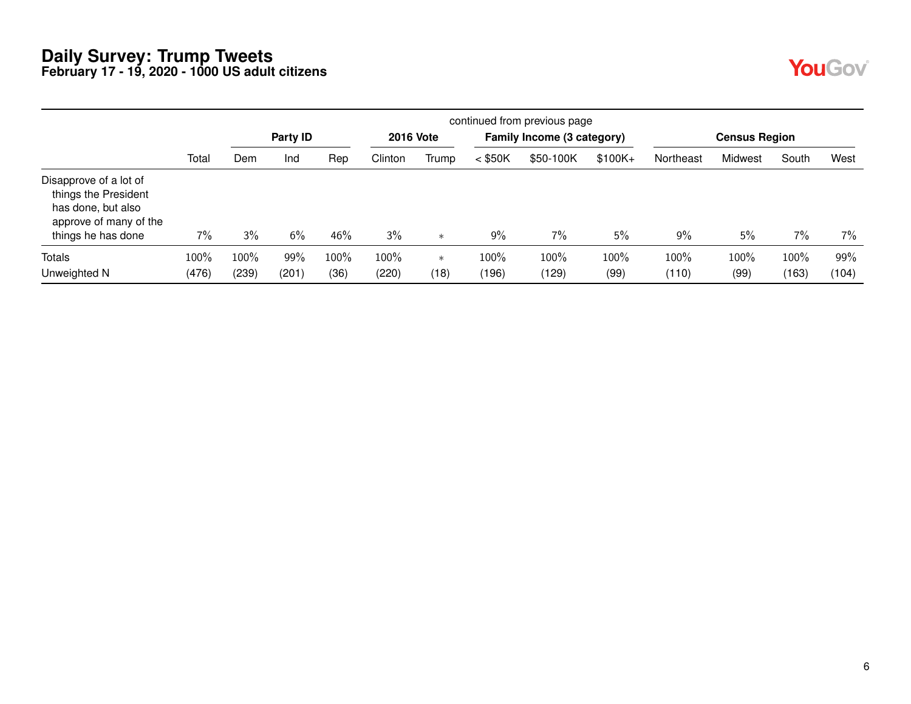|--|--|

|                                                                                                                      |       | continued from previous page |          |      |         |                  |           |                            |           |           |                      |       |       |  |
|----------------------------------------------------------------------------------------------------------------------|-------|------------------------------|----------|------|---------|------------------|-----------|----------------------------|-----------|-----------|----------------------|-------|-------|--|
|                                                                                                                      |       |                              | Party ID |      |         | <b>2016 Vote</b> |           | Family Income (3 category) |           |           | <b>Census Region</b> |       |       |  |
|                                                                                                                      | Total | Dem                          | Ind      | Rep  | Clinton | Trump            | $<$ \$50K | \$50-100K                  | $$100K +$ | Northeast | Midwest              | South | West  |  |
| Disapprove of a lot of<br>things the President<br>has done, but also<br>approve of many of the<br>things he has done | 7%    | 3%                           | 6%       | 46%  | 3%      | $\ast$           | $9\%$     | $7\%$                      | 5%        | 9%        | 5%                   | 7%    | $7\%$ |  |
| <b>Totals</b>                                                                                                        | 100%  | 100%                         | 99%      | 100% | 100%    | $\ast$           | 100%      | 100%                       | 100%      | 100%      | 100%                 | 100%  | 99%   |  |
| Unweighted N                                                                                                         | (476) | (239)                        | (201)    | (36) | (220)   | (18)             | (196)     | (129)                      | (99)      | (110)     | (99)                 | (163) | (104) |  |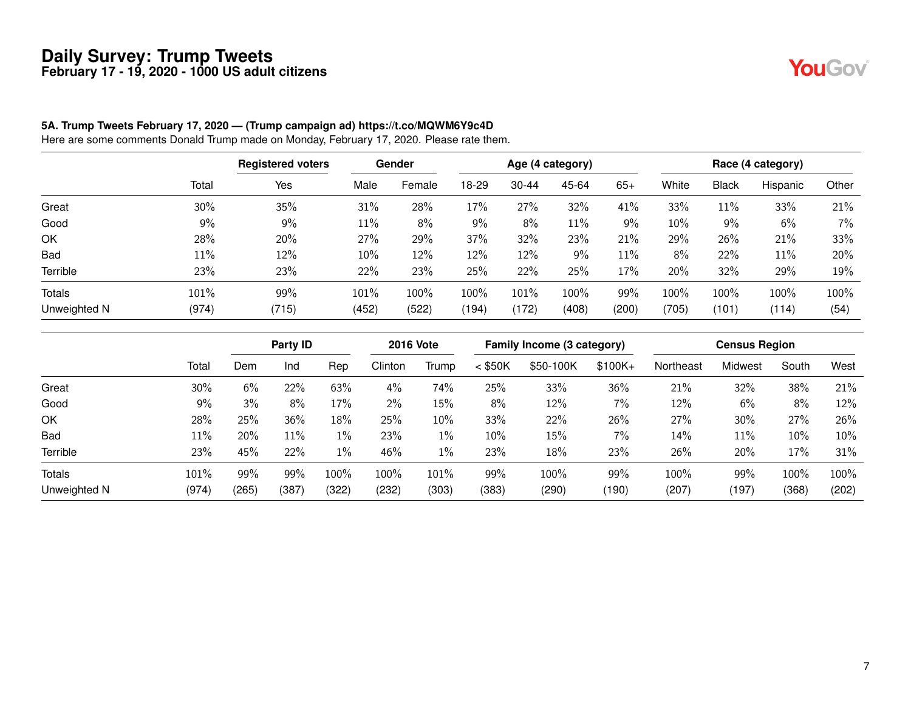YouGov®

#### **5A. Trump Tweets February 17, 2020 — (Trump campaign ad) https://t.co/MQWM6Y9c4D**

Here are some comments Donald Trump made on Monday, February 17, 2020. Please rate them.

|               |       | <b>Registered voters</b> |         | Gender |        |           | Age (4 category) |       |       |       | Race (4 category) |       |
|---------------|-------|--------------------------|---------|--------|--------|-----------|------------------|-------|-------|-------|-------------------|-------|
|               | Total | Yes                      | Male    | Female | $8-29$ | $30 - 44$ | 45-64            | $65+$ | White | Black | Hispanic          | Other |
| Great         | 30%   | 35%                      | 31%     | 28%    | 17%    | 27%       | 32%              | 41%   | 33%   | 11%   | 33%               | 21%   |
| Good          | 9%    | 9%                       | 11%     | 8%     | $9\%$  | 8%        | 11%              | 9%    | 10%   | 9%    | 6%                | 7%    |
| OK            | 28%   | 20%                      | 27%     | 29%    | 37%    | 32%       | 23%              | 21%   | 29%   | 26%   | 21%               | 33%   |
| <b>Bad</b>    | 11%   | 12%                      | 10%     | 12%    | 12%    | 12%       | 9%               | 11%   | 8%    | 22%   | 11%               | 20%   |
| Terrible      | 23%   | 23%                      | 22%     | 23%    | 25%    | 22%       | 25%              | 17%   | 20%   | 32%   | 29%               | 19%   |
| <b>Totals</b> | 101%  | 99%                      | $101\%$ | 100%   | 100%   | 101%      | 100%             | 99%   | 100%  | 100%  | 100%              | 100%  |
| Unweighted N  | (974) | (715)                    | (452)   | (522)  | (194)  | (172)     | (408)            | (200) | (705) | (101) | (114)             | (54)  |

|              |       | Party ID |       |       | <b>2016 Vote</b> |       |           | Family Income (3 category) |           |           | <b>Census Region</b> |        |       |
|--------------|-------|----------|-------|-------|------------------|-------|-----------|----------------------------|-----------|-----------|----------------------|--------|-------|
|              | Total | Dem      | Ind   | Rep   | Clinton          | Trump | $<$ \$50K | \$50-100K                  | $$100K +$ | Northeast | Midwest              | South  | West  |
| Great        | 30%   | 6%       | 22%   | 63%   | $4\%$            | 74%   | 25%       | 33%                        | 36%       | 21%       | 32%                  | 38%    | 21%   |
| Good         | 9%    | 3%       | 8%    | 17%   | $2\%$            | 15%   | 8%        | 12%                        | 7%        | 12%       | 6%                   | 8%     | 12%   |
| OK           | 28%   | 25%      | 36%   | 18%   | 25%              | 10%   | 33%       | 22%                        | 26%       | 27%       | 30%                  | 27%    | 26%   |
| <b>Bad</b>   | 11%   | 20%      | 11%   | $1\%$ | 23%              | $1\%$ | $10\%$    | 15%                        | 7%        | 14%       | 11%                  | $10\%$ | 10%   |
| Terrible     | 23%   | 45%      | 22%   | $1\%$ | 46%              | 1%    | 23%       | 18%                        | 23%       | 26%       | 20%                  | $17\%$ | 31%   |
| Totals       | 101%  | 99%      | 99%   | 100%  | 100%             | 101%  | 99%       | 100%                       | 99%       | 100%      | 99%                  | 100%   | 100%  |
| Unweighted N | (974) | (265)    | (387) | (322) | (232)            | (303) | (383)     | (290)                      | (190)     | (207)     | (197)                | (368)  | (202) |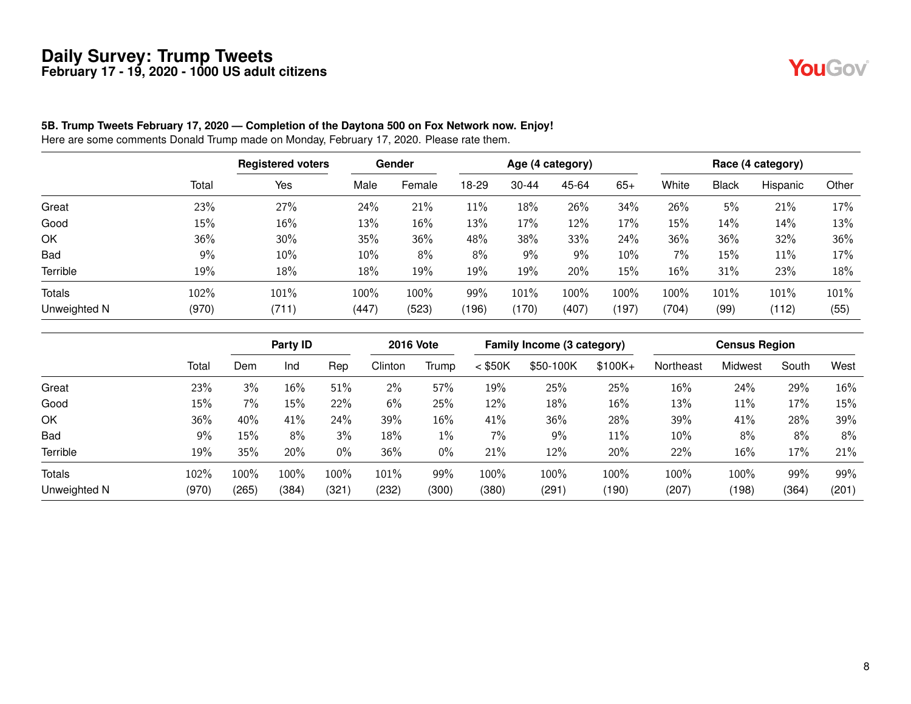

#### **5B. Trump Tweets February 17, 2020 — Completion of the Daytona 500 on Fox Network now. Enjoy!**

Here are some comments Donald Trump made on Monday, February 17, 2020. Please rate them.

|               |       | <b>Registered voters</b> |       | <b>Gender</b> |       |           | Age (4 category) |       |        |              | Race (4 category) |       |
|---------------|-------|--------------------------|-------|---------------|-------|-----------|------------------|-------|--------|--------------|-------------------|-------|
|               | Total | Yes                      | Male  | Female        | 18-29 | $30 - 44$ | 45-64            | $65+$ | White  | <b>Black</b> | Hispanic          | Other |
| Great         | 23%   | 27%                      | 24%   | 21%           | 11%   | 18%       | 26%              | 34%   | 26%    | 5%           | 21%               | 17%   |
| Good          | 15%   | $16\%$                   | 13%   | 16%           | 13%   | 17%       | 12%              | 17%   | 15%    | 14%          | 14%               | 13%   |
| OK            | 36%   | 30%                      | 35%   | 36%           | 48%   | 38%       | 33%              | 24%   | 36%    | 36%          | 32%               | 36%   |
| <b>Bad</b>    | 9%    | 10%                      | 10%   | 8%            | 8%    | 9%        | 9%               | 10%   | 7%     | 15%          | 11%               | 17%   |
| Terrible      | 19%   | 18%                      | 18%   | 19%           | 19%   | 19%       | 20%              | 15%   | $16\%$ | 31%          | 23%               | 18%   |
| <b>Totals</b> | 102%  | 101%                     | 100%  | 100%          | 99%   | 101%      | 100%             | 100%  | 100%   | 101%         | 101%              | 101%  |
| Unweighted N  | (970) | (711)                    | (447) | (523)         | (196) | (170)     | (407)            | (197) | (704)  | (99)         | (112)             | (55)  |

|               |       | Party ID |       |       | <b>2016 Vote</b> |       | Family Income (3 category) |           |           | <b>Census Region</b> |         |       |       |
|---------------|-------|----------|-------|-------|------------------|-------|----------------------------|-----------|-----------|----------------------|---------|-------|-------|
|               | Total | Dem      | Ind   | Rep   | Clinton          | Trump | $<$ \$50K                  | \$50-100K | $$100K +$ | Northeast            | Midwest | South | West  |
| Great         | 23%   | 3%       | 16%   | 51%   | 2%               | 57%   | 19%                        | 25%       | 25%       | 16%                  | 24%     | 29%   | 16%   |
| Good          | 15%   | 7%       | 15%   | 22%   | 6%               | 25%   | 12%                        | 18%       | 16%       | 13%                  | 11%     | 17%   | 15%   |
| OK            | 36%   | 40%      | 41%   | 24%   | 39%              | 16%   | 41%                        | 36%       | 28%       | 39%                  | 41%     | 28%   | 39%   |
| Bad           | $9\%$ | 15%      | 8%    | 3%    | 18%              | $1\%$ | 7%                         | 9%        | 11%       | 10%                  | 8%      | 8%    | 8%    |
| Terrible      | 19%   | 35%      | 20%   | 0%    | 36%              | 0%    | 21%                        | 12%       | 20%       | 22%                  | 16%     | 17%   | 21%   |
| <b>Totals</b> | 102%  | 100%     | 100%  | 100%  | 101%             | 99%   | 100%                       | 100%      | 100%      | 100%                 | 100%    | 99%   | 99%   |
| Unweighted N  | (970) | (265)    | (384) | (321) | (232)            | (300) | (380)                      | (291)     | (190)     | (207)                | (198)   | (364) | (201) |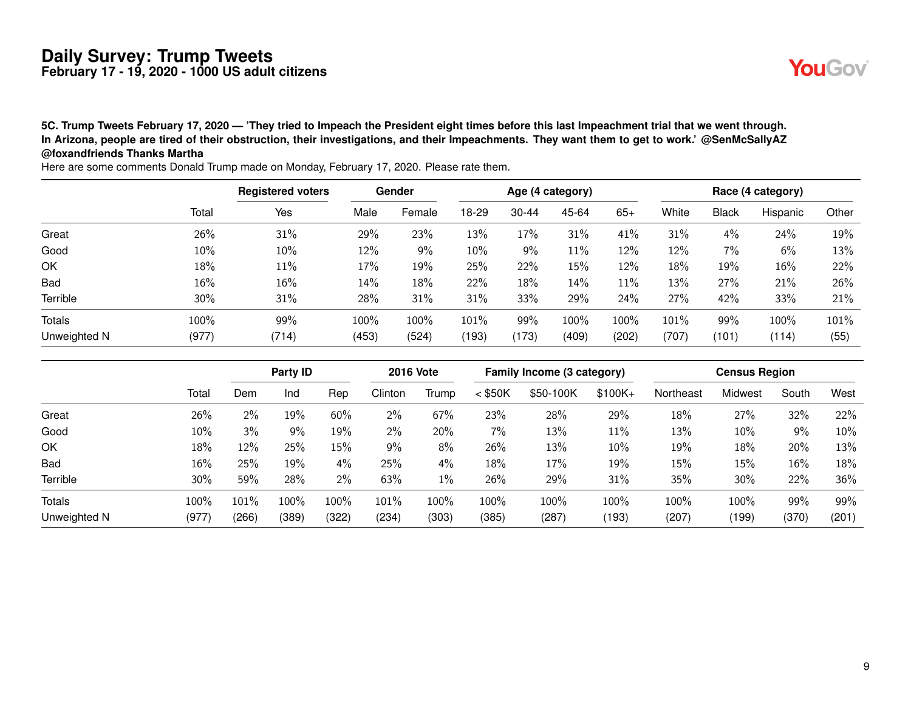**5C. Trump Tweets February 17, 2020 — 'They tried to Impeach the President eight times before this last Impeachment trial that we went through. In Arizona, people are tired of their obstruction, their investigations, and their Impeachments. They want them to get to work.' @SenMcSallyAZ @foxandfriends Thanks Martha**

Registered voters **Gender Gender** Age (4 category) **Race (4 category)** Race (4 category) Total Yes Male Female 18-29 30-44 45-64 65+ White Black Hispanic Other Great 26% 31% 29% 23% 13% 17% 31% 41% 31% 4% 24% 19% Good 10% 10% 12% 9% 10% 9% 11% 12% 12% 7% 6% 13% OK 18% 11% 17% 19% 25% 22% 15% 12% 18% 19% 16% 22% Bad 16% 16% 14% 18% 22% 18% 14% 11% 13% 27% 21% 26% Terrible 30% 31% 28% 31% 31% 33% 29% 24% 27% 42% 33% 21% Totals 100% 99% 100% 100% 101% 99% 100% 100% 101% 99% 100% 101% Unweighted N (977) (714) (453) (524) (193) (173) (409) (202) (707) (101) (114) (55)

| iC. Trump Tweets February 17, 2020 — 'They tried to Impeach the President eight times before this last Impeachment trial that we went through. |  |
|------------------------------------------------------------------------------------------------------------------------------------------------|--|
| n Arizona, people are tired of their obstruction, their investigations, and their Impeachments. They want them to get to work.' @SenMcSallyAZ  |  |
| $\widehat{\bm{w}}$ foxandfriends Thanks Martha                                                                                                 |  |

Party ID 2016 Vote Family Income (3 category) Census Region Total Dem Ind Rep Clinton Trump < \$50K \$50-100K \$100K+ Northeast Midwest South West Great 26% 2% 19% 60% 2% 67% 23% 28% 29% 18% 27% 32% 22% Good 10% 3% 9% 19% 2% 20% 7% 13% 11% 13% 10% 9% 10% OK 18% 12% 25% 15% 9% 8% 26% 13% 10% 19% 18% 20% 13% Bad 16% 25% 19% 4% 25% 4% 18% 17% 19% 15% 15% 16% 18% Terrible 30% 59% 28% 2% 63% 1% 26% 29% 31% 35% 30% 22% 36% Totals 100% 101% 100% 100% 101% 100% 100% 100% 100% 100% 100% 99% 99% Unweighted N (977) (266) (389) (322) (234) (303) (385) (287) (193) (207) (199) (370) (201)

Here are some comments Donald Trump made on Monday, February 17, 2020. Please rate them.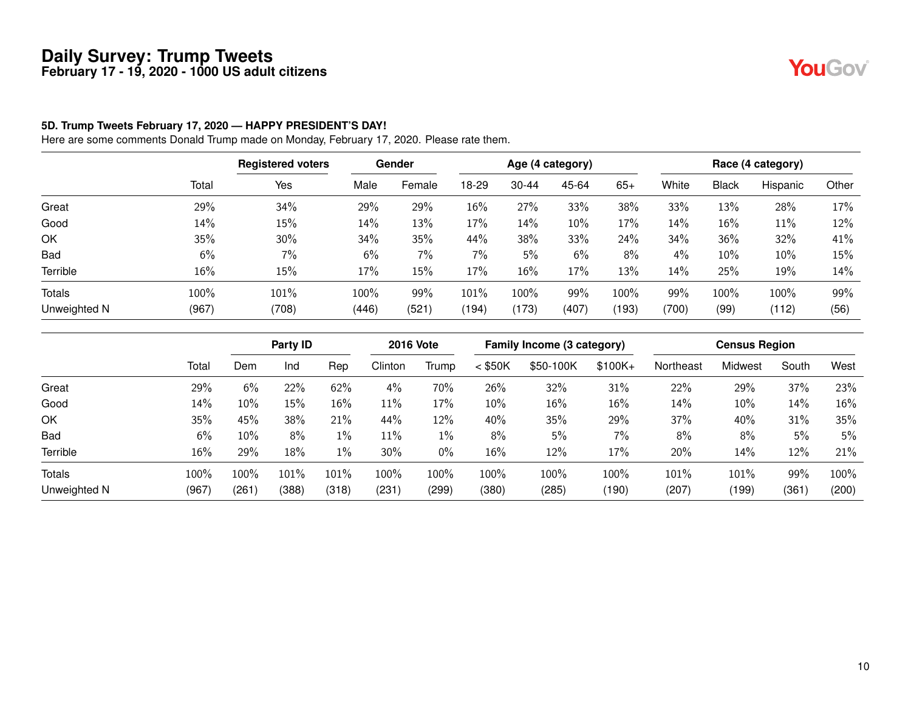#### **5D. Trump Tweets February 17, 2020 — HAPPY PRESIDENT'S DAY!**

Here are some comments Donald Trump made on Monday, February 17, 2020. Please rate them.

|              |       | <b>Registered voters</b> |       | <b>Gender</b> |       |           | Age (4 category) |       |       |              | Race (4 category) |       |
|--------------|-------|--------------------------|-------|---------------|-------|-----------|------------------|-------|-------|--------------|-------------------|-------|
|              | Total | Yes                      | Male  | Female        | 18-29 | $30 - 44$ | 45-64            | $65+$ | White | <b>Black</b> | Hispanic          | Other |
| Great        | 29%   | 34%                      | 29%   | 29%           | 16%   | 27%       | 33%              | 38%   | 33%   | 13%          | 28%               | 17%   |
| Good         | 14%   | 15%                      | 14%   | 13%           | 17%   | 14%       | 10%              | 17%   | 14%   | 16%          | 11%               | 12%   |
| OK           | 35%   | 30%                      | 34%   | 35%           | 44%   | 38%       | 33%              | 24%   | 34%   | 36%          | 32%               | 41%   |
| <b>Bad</b>   | 6%    | 7%                       | 6%    | 7%            | 7%    | 5%        | 6%               | 8%    | 4%    | 10%          | 10%               | 15%   |
| Terrible     | 16%   | 15%                      | 17%   | 15%           | 17%   | 16%       | 17%              | 13%   | 14%   | 25%          | 19%               | 14%   |
| Totals       | 100%  | 101%                     | 100%  | 99%           | 101%  | 100%      | 99%              | 100%  | 99%   | 100%         | 100%              | 99%   |
| Unweighted N | (967) | (708)                    | (446) | (521)         | (194) | (173)     | (407)            | (193) | (700) | (99)         | (112)             | (56)  |

|               |       | Party ID |       |       | <b>2016 Vote</b> |       | Family Income (3 category) |           |           | <b>Census Region</b> |         |       |        |
|---------------|-------|----------|-------|-------|------------------|-------|----------------------------|-----------|-----------|----------------------|---------|-------|--------|
|               | Total | Dem      | Ind   | Rep   | Clinton          | Trump | $<$ \$50K                  | \$50-100K | $$100K +$ | Northeast            | Midwest | South | West   |
| Great         | 29%   | 6%       | 22%   | 62%   | 4%               | 70%   | 26%                        | 32%       | 31%       | 22%                  | 29%     | 37%   | 23%    |
| Good          | 14%   | 10%      | 15%   | 16%   | 11%              | 17%   | $10\%$                     | 16%       | 16%       | 14%                  | 10%     | 14%   | $16\%$ |
| OK            | 35%   | 45%      | 38%   | 21%   | 44%              | 12%   | 40%                        | 35%       | 29%       | 37%                  | 40%     | 31%   | 35%    |
| Bad           | 6%    | 10%      | 8%    | 1%    | 11%              | $1\%$ | 8%                         | 5%        | 7%        | 8%                   | 8%      | 5%    | 5%     |
| Terrible      | 16%   | 29%      | 18%   | 1%    | 30%              | 0%    | $16\%$                     | 12%       | 17%       | 20%                  | 14%     | 12%   | 21%    |
| <b>Totals</b> | 100%  | 100%     | 101%  | 101%  | 100%             | 100%  | 100%                       | 100%      | 100%      | 101%                 | 101%    | 99%   | 100%   |
| Unweighted N  | (967) | (261)    | (388) | (318) | (231)            | (299) | (380)                      | (285)     | (190)     | (207)                | (199)   | (361) | (200)  |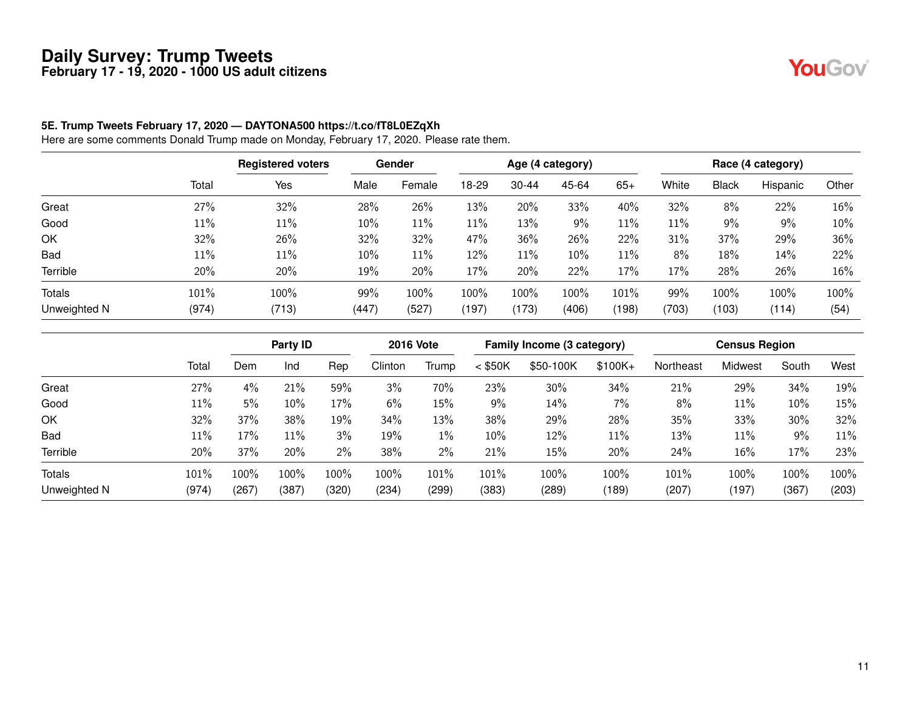#### **5E. Trump Tweets February 17, 2020 — DAYTONA500 https://t.co/fT8L0EZqXh**

Here are some comments Donald Trump made on Monday, February 17, 2020. Please rate them.

|              |       | <b>Registered voters</b> |       | <b>Gender</b> |       |           | Age (4 category) |       |       |              | Race (4 category) |       |
|--------------|-------|--------------------------|-------|---------------|-------|-----------|------------------|-------|-------|--------------|-------------------|-------|
|              | Total | Yes                      | Male  | Female        | 18-29 | $30 - 44$ | 45-64            | $65+$ | White | <b>Black</b> | Hispanic          | Other |
| Great        | 27%   | 32%                      | 28%   | 26%           | 13%   | 20%       | 33%              | 40%   | 32%   | 8%           | 22%               | 16%   |
| Good         | 11%   | 11%                      | 10%   | 11%           | 11%   | 13%       | $9\%$            | 11%   | 11%   | 9%           | 9%                | 10%   |
| OK           | 32%   | 26%                      | 32%   | 32%           | 47%   | 36%       | 26%              | 22%   | 31%   | 37%          | 29%               | 36%   |
| <b>Bad</b>   | 11%   | 11%                      | 10%   | 11%           | 12%   | 11%       | 10%              | 11%   | 8%    | 18%          | 14%               | 22%   |
| Terrible     | 20%   | 20%                      | 19%   | 20%           | 17%   | 20%       | 22%              | 17%   | 17%   | 28%          | 26%               | 16%   |
| Totals       | 101%  | 100%                     | 99%   | 100%          | 100%  | 100%      | 100%             | 101%  | 99%   | 100%         | 100%              | 100%  |
| Unweighted N | (974) | (713)                    | (447) | (527)         | (197) | (173)     | (406)            | (198) | (703) | (103)        | (114)             | (54)  |

|               |       | Party ID |       | <b>2016 Vote</b> |         | Family Income (3 category) |           |           | <b>Census Region</b> |           |         |       |       |
|---------------|-------|----------|-------|------------------|---------|----------------------------|-----------|-----------|----------------------|-----------|---------|-------|-------|
|               | Total | Dem      | Ind   | Rep              | Clinton | Trump                      | $<$ \$50K | \$50-100K | $$100K +$            | Northeast | Midwest | South | West  |
| Great         | 27%   | 4%       | 21%   | 59%              | 3%      | 70%                        | 23%       | 30%       | 34%                  | 21%       | 29%     | 34%   | 19%   |
| Good          | 11%   | 5%       | 10%   | 17%              | 6%      | 15%                        | 9%        | 14%       | 7%                   | 8%        | 11%     | 10%   | 15%   |
| OK            | 32%   | 37%      | 38%   | 19%              | 34%     | 13%                        | 38%       | 29%       | 28%                  | 35%       | 33%     | 30%   | 32%   |
| Bad           | 11%   | 17%      | 11%   | 3%               | 19%     | $1\%$                      | $10\%$    | 12%       | 11%                  | 13%       | 11%     | 9%    | 11%   |
| Terrible      | 20%   | 37%      | 20%   | 2%               | 38%     | 2%                         | 21%       | 15%       | 20%                  | 24%       | 16%     | 17%   | 23%   |
| <b>Totals</b> | 101%  | 100%     | 100%  | 100%             | 100%    | 101%                       | 101%      | 100%      | 100%                 | 101%      | 100%    | 100%  | 100%  |
| Unweighted N  | (974) | (267)    | (387) | (320)            | (234)   | (299)                      | (383)     | (289)     | (189)                | (207)     | (197)   | (367) | (203) |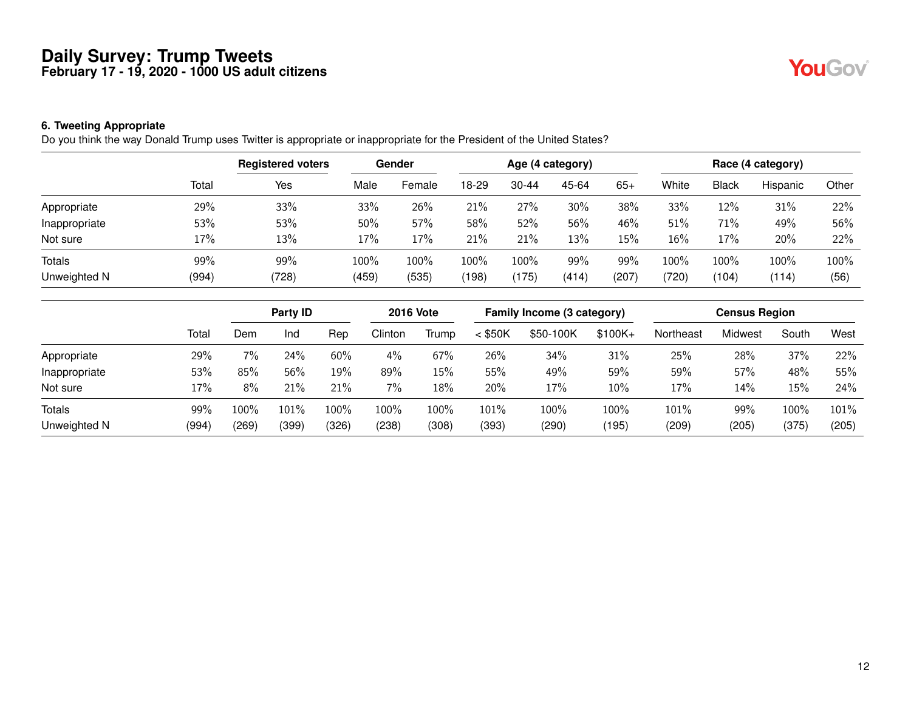#### **6. Tweeting Appropriate**

Do you think the way Donald Trump uses Twitter is appropriate or inappropriate for the President of the United States?

|               |       | <b>Registered voters</b> | Gender |        | Age (4 category) |           |        |       |       |              | Race (4 category) |       |
|---------------|-------|--------------------------|--------|--------|------------------|-----------|--------|-------|-------|--------------|-------------------|-------|
|               | Total | Yes                      | Male   | Female | 18-29            | $30 - 44$ | 45-64  | $65+$ | White | <b>Black</b> | Hispanic          | Other |
| Appropriate   | 29%   | 33%                      | 33%    | 26%    | 21%              | 27%       | $30\%$ | 38%   | 33%   | 12%          | 31%               | 22%   |
| Inappropriate | 53%   | 53%                      | 50%    | 57%    | 58%              | 52%       | 56%    | 46%   | 51%   | 71%          | 49%               | 56%   |
| Not sure      | 17%   | 13%                      | 17%    | 17%    | 21%              | 21%       | 13%    | 15%   | 16%   | 17%          | 20%               | 22%   |
| <b>Totals</b> | 99%   | 99%                      | 100%   | 100%   | 100%             | 100%      | 99%    | 99%   | 100%  | 100%         | 100%              | 100%  |
| Unweighted N  | (994) | (728)                    | (459)  | (535)  | (198)            | (175)     | (414)  | (207) | (720) | (104)        | (114)             | (56)  |

|               |       | Party <b>ID</b> |         |       | <b>2016 Vote</b> |       | Family Income (3 category) |           |          | <b>Census Region</b> |         |         |       |
|---------------|-------|-----------------|---------|-------|------------------|-------|----------------------------|-----------|----------|----------------------|---------|---------|-------|
|               | Total | Dem             | Ind     | Rep   | Clinton          | Trump | $<$ \$50K                  | \$50-100K | $$100K+$ | Northeast            | Midwest | South   | West  |
| Appropriate   | 29%   | 7%              | 24%     | 60%   | $4\%$            | 67%   | 26%                        | 34%       | 31%      | 25%                  | 28%     | 37%     | 22%   |
| Inappropriate | 53%   | 85%             | 56%     | 19%   | 89%              | 15%   | 55%                        | 49%       | 59%      | 59%                  | 57%     | 48%     | 55%   |
| Not sure      | 17%   | 8%              | 21%     | 21%   | 7%               | 18%   | 20%                        | 17%       | 10%      | 17%                  | 14%     | 15%     | 24%   |
| <b>Totals</b> | 99%   | 100%            | $101\%$ | 100%  | 100%             | 100%  | 101%                       | 100%      | 100%     | 101%                 | 99%     | $100\%$ | 101%  |
| Unweighted N  | (994) | (269)           | (399)   | (326) | (238)            | (308) | (393)                      | (290)     | (195)    | (209)                | (205)   | (375)   | (205) |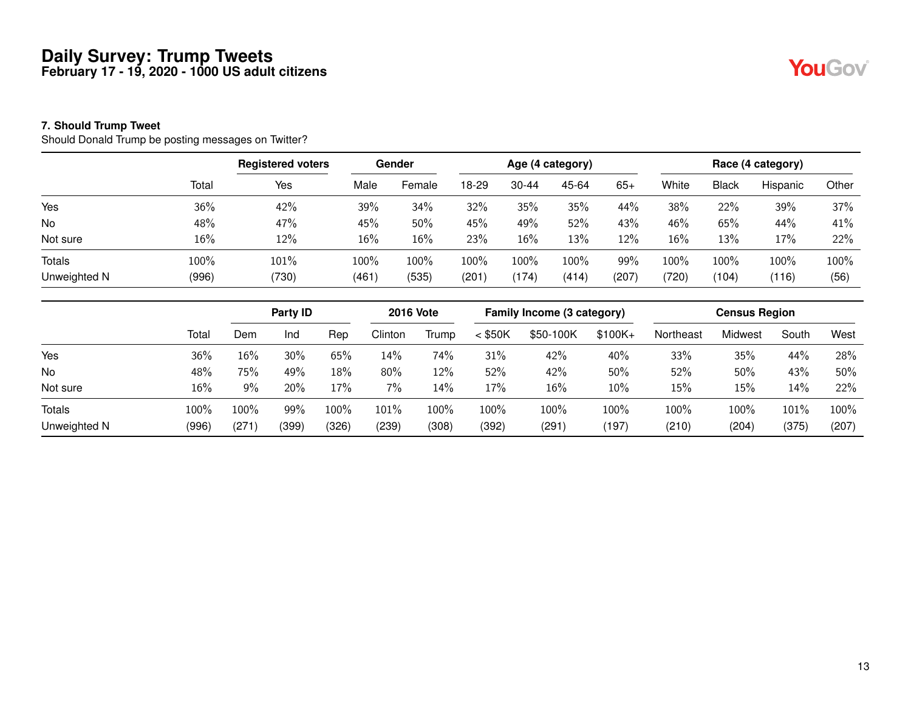#### **7. Should Trump Tweet**

Should Donald Trump be posting messages on Twitter?

|               |       | <b>Registered voters</b> |       | Gender |       |           | Age (4 category) |       |       |              | Race (4 category) |       |
|---------------|-------|--------------------------|-------|--------|-------|-----------|------------------|-------|-------|--------------|-------------------|-------|
|               | Total | Yes                      | Male  | Female | 18-29 | $30 - 44$ | 45-64            | $65+$ | White | <b>Black</b> | Hispanic          | Other |
| Yes           | 36%   | 42%                      | 39%   | 34%    | 32%   | 35%       | 35%              | 44%   | 38%   | 22%          | 39%               | 37%   |
| No            | 48%   | 47%                      | 45%   | 50%    | 45%   | 49%       | 52%              | 43%   | 46%   | 65%          | 44%               | 41%   |
| Not sure      | 16%   | 12%                      | 16%   | 16%    | 23%   | $16\%$    | 13%              | 12%   | 16%   | 13%          | 17%               | 22%   |
| <b>Totals</b> | 100%  | 101%                     | 100%  | 100%   | 100%  | 100%      | 100%             | 99%   | 100%  | 100%         | 100%              | 100%  |
| Unweighted N  | (996) | (730)                    | (461) | (535)  | (201  | (174)     | (414)            | (207) | (720) | (104)        | (116)             | (56)  |

|               |       | Party ID |       |         | <b>2016 Vote</b> |       | Family Income (3 category) |           |           | <b>Census Region</b> |         |       |       |
|---------------|-------|----------|-------|---------|------------------|-------|----------------------------|-----------|-----------|----------------------|---------|-------|-------|
|               | Total | Dem      | Ind   | Rep     | Clinton          | Trump | $<$ \$50K                  | \$50-100K | $$100K +$ | Northeast            | Midwest | South | West  |
| Yes           | 36%   | 16%      | 30%   | 65%     | 14%              | 74%   | 31%                        | 42%       | 40%       | 33%                  | 35%     | 44%   | 28%   |
| No            | 48%   | 75%      | 49%   | 18%     | 80%              | 12%   | 52%                        | 42%       | 50%       | 52%                  | 50%     | 43%   | 50%   |
| Not sure      | 16%   | 9%       | 20%   | 17%     | 7%               | 14%   | 17%                        | 16%       | 10%       | 15%                  | 15%     | 14%   | 22%   |
| <b>Totals</b> | 100%  | 100%     | 99%   | $100\%$ | $101\%$          | 100%  | 100%                       | 100%      | 100%      | 100%                 | 100%    | 101%  | 100%  |
| Unweighted N  | (996) | (271     | (399) | (326)   | (239)            | (308) | (392)                      | (291)     | (197)     | (210)                | (204)   | (375) | (207) |